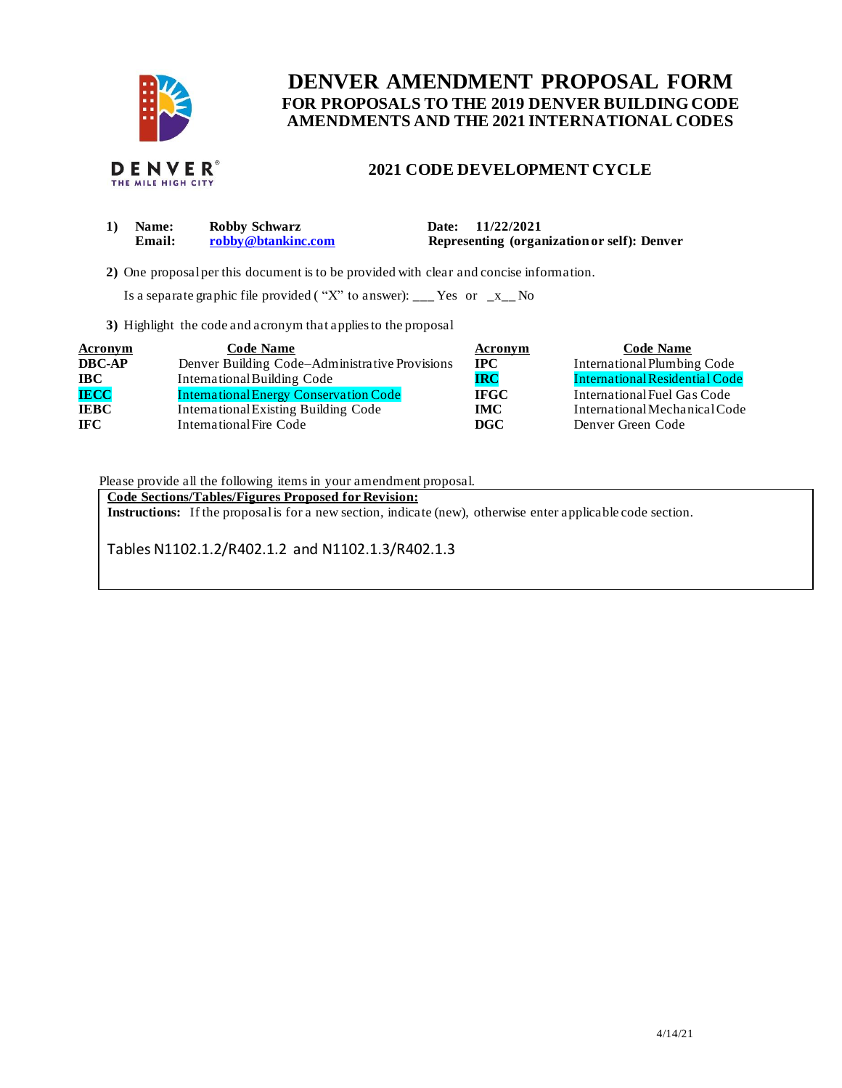

# **FOR PROPOSALS TO THE 2019 DENVER BUILDING CODE DENVER AMENDMENT PROPOSAL FORM AMENDMENTS AND THE 2021 INTERNATIONAL CODES**

## **2021 CODE DEVELOPMENT CYCLE**

| <b>Name:</b> | Robby Schwarz      | Date: 11/22/2021                            |
|--------------|--------------------|---------------------------------------------|
| Email:       | robby@btankinc.com | Representing (organization or self): Denver |
|              |                    |                                             |

**2)** One proposalper this document is to be provided with clear and concise information.

Is a separate graphic file provided ("X" to answer): \_\_\_ Yes or  $-x$  No

**3)** Highlight the code and acronym that applies to the proposal

| <b>Acronym</b> | <b>Code Name</b>                               | <b>Acronym</b> | <b>Code Name</b>               |
|----------------|------------------------------------------------|----------------|--------------------------------|
| <b>DBC-AP</b>  | Denver Building Code–Administrative Provisions | $_{\rm IPC}$   | International Plumbing Code    |
| <b>IBC</b>     | International Building Code                    | <b>IRC</b>     | International Residential Code |
| <b>IECC</b>    | <b>International Energy Conservation Code</b>  | <b>IFGC</b>    | International Fuel Gas Code    |
| <b>IEBC</b>    | International Existing Building Code           | <b>IMC</b>     | International Mechanical Code  |
| <b>IFC</b>     | International Fire Code                        | DGC            | Denver Green Code              |

Please provide all the following items in your amendment proposal.

 **Code Sections/Tables/Figures Proposed for Revision:** 

**Instructions:** If the proposalis for a new section, indicate (new), otherwise enter applicable code section.

Tables N1102.1.2/R402.1.2 and N1102.1.3/R402.1.3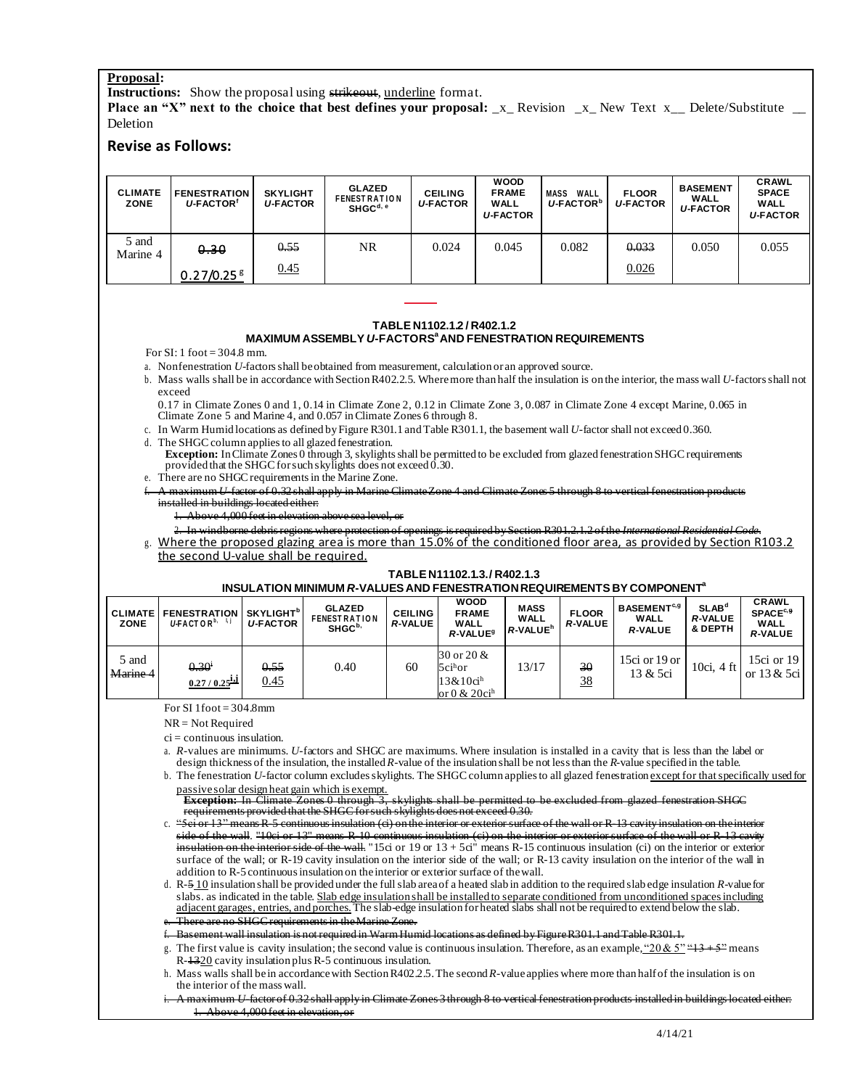### **Proposal:**

**Instructions:** Show the proposal using strikeout, underline format.

**Place an "X" next to the choice that best defines your proposal: \_x\_ Revision \_x\_ New Text x\_\_ Delete/Substitute \_\_** Deletion

### **Revise as Follows:**

| <b>CLIMATE</b><br>ZONE | <b>FENESTRATION</b><br>U-FACTOR <sup>®</sup> | <b>SKYLIGHT</b><br><b>U-FACTOR</b> | <b>GLAZED</b><br><b>FENEST RATION</b><br>SHGC <sup>d, e</sup> | <b>CEILING</b><br><b>U-FACTOR</b> | <b>WOOD</b><br><b>FRAME</b><br>WALL<br><b>U-FACTOR</b> | <b>MASS</b><br>WALL<br>U-FACTOR <sup>b</sup> | <b>FLOOR</b><br><b>U-FACTOR</b> | <b>BASEMENT</b><br>WALL<br><b>U-FACTOR</b> | <b>CRAWL</b><br><b>SPACE</b><br><b>WALL</b><br><b>U-FACTOR</b> |
|------------------------|----------------------------------------------|------------------------------------|---------------------------------------------------------------|-----------------------------------|--------------------------------------------------------|----------------------------------------------|---------------------------------|--------------------------------------------|----------------------------------------------------------------|
| 5 and<br>Marine 4      | 0.30<br>0.27/0.25 <sup>g</sup>               | 0.55<br>0.45                       | NR                                                            | 0.024                             | 0.045                                                  | 0.082                                        | 0.033<br>0.026                  | 0.050                                      | 0.055                                                          |

### **TABLE N1102.1.2 / R402.1.2**

### **MAXIMUM ASSEMBLY** *U***-FACTORS<sup>a</sup> AND FENESTRATION REQUIREMENTS**

For  $SI: 1$  foot = 304.8 mm.

a. Nonfenestration *U*-factors shall beobtained from measurement, calculation or an approved source.

b. Mass walls shall be in accordance with Section R402.2.5. Wheremore than half the insulation is on the interior, the mass wall *U*-factors shall not exceed

 Climate Zone 5 and Marine 4, and 0.057 in Climate Zones 6 through 8. 0.17 in Climate Zones 0 and 1, 0.14 in Climate Zone 2, 0.12 in Climate Zone 3, 0.087 in Climate Zone 4 except Marine, 0.065 in

c. In Warm Humid locations as defined by Figure R301.1 and Table R301.1, the basement wall *U*-factor shall not exceed 0.360.

- d. The SHGC column applies to all glazed fenestration.
- provided that the SHGC for such skylights does not exceed 0.30. **Exception:** In Climate Zones 0 through 3, skylights shall be permitted to be excluded from glazed fenestration SHGC requirements
- e. There are no SHGC requirements in the Marine Zone.
- f. A maximum *U*-factor of 0.32 shall apply in Marine ClimateZone 4 and Climate Zones 5 through 8 to vertical fenestration products installed in buildings located either:
	- 1. Above 4,000 feet in elevation above sea level, or

g. Where the proposed glazing area is more than 15.0% of the conditioned floor area, as provided by Section R103.2 2. In windborne debris regions where protection of openings is required by Section R301.2.1.2 of the *International Residential Code*.

the second U-value shall be required.

#### **TABLE N11102.1.3./ R402.1.3**

**INSULATION MINIMUM** *R***-VALUES AND FENESTRATIONREQUIREMENTS BY COMPONENTa** 

| <b>CLIMATE</b><br><b>ZONE</b> | <b>FENESTRATION</b><br>$U\text{-}FACTOR^{b,-l,j}$ | <b>SKYLIGHT</b> <sup>b</sup><br><b>U-FACTOR</b> | <b>GLAZED</b><br><b>FENEST RATION</b><br>SHGC <sup>b</sup> | <b>CEILING</b><br><b>R-VALUE</b> | <b>WOOD</b><br><b>FRAME</b><br>WALL<br>R-VALUE <sup>9</sup>                                                        | <b>MASS</b><br><b>WALL</b><br>R-VALUE <sup>h</sup> | <b>FLOOR</b><br><b>R-VALUE</b> | <b>BASEMENT</b> <sup>c,g</sup><br><b>WALL</b><br><b>R-VALUE</b> | SLAB <sup>d</sup><br><b>R-VALUE</b><br>& DEPTH | <b>CRAWL</b><br>SPACE <sup>c, 9</sup><br><b>WALL</b><br><b>R-VALUE</b> |
|-------------------------------|---------------------------------------------------|-------------------------------------------------|------------------------------------------------------------|----------------------------------|--------------------------------------------------------------------------------------------------------------------|----------------------------------------------------|--------------------------------|-----------------------------------------------------------------|------------------------------------------------|------------------------------------------------------------------------|
| 5 and<br>Marine 4             | $0.30^{i}$<br>$0.27/0.25$ ij                      | 0.55<br>0.45                                    | 0.40                                                       | 60                               | $30 \text{ or } 20 \text{ \&}$<br>$5$ ci <sup>h</sup> or<br>$13&10$ ci <sup>h</sup><br>or $0 & 20$ ci <sup>h</sup> | 13/17                                              | 30<br><u>38</u>                | 15ci or 19 or<br>13 & 5ci                                       | 10ci, 4 ft                                     | $15ci$ or $19$<br>or 13 & 5ci                                          |

For SI  $1$  foot  $=$  304.8mm

NR = Not Required

ci = continuous insulation.

 a. *R*-values are minimums. *U*-factors and SHGC are maximums. Where insulation is installed in a cavity that is less than the label or design thickness of the insulation, the installed *R*-value of the insulation shall be not less than the *R*-value specified in the table.

 b. The fenestration *U*-factor column excludes skylights. The SHGC column applies to all glazed fenestration except for that specifically used for passivesolar design heat gain which is exempt.

 requirements provided that the SHGC forsuch skylights does not exceed 0.30. **Exception:** In Climate Zones 0 through 3, skylights shall be permitted to be excluded from glazed fenestration SHGC

c. "Sci or 13" means R-5 continuous insulation (ci) on the interior or exterior surface of the wall or R-13 cavity insulation on the interior side of the wall. "10ci or 13" means R-10 continuous insulation (ci) on the interior or exterior surface of the wall or R-13 cavity insulation on the interior side of the wall. "15ci or 19 or  $13 + 5c$ i" means R-15 continuous insulation (ci) on the interior or exterior surface of the wall; or R-19 cavity insulation on the interior side of the wall; or R-13 cavity insulation on the interior of the wall in addition to R-5 continuous insulation on theinterior or exterior surface of thewall.

slabs. as indicated in the table. Slab edge insulation shall be installed to separate conditioned from unconditioned spaces including d. R-5 10 insulation shall be provided under the full slab area of a heated slab in addition to the required slab edge insulation *R*-valuefor adjacent garages, entries, and porches. The slab-edge insulation for heated slabs shall not be required to extend below the slab. There are no SHGC requirements in the Marine Zone.

Basement wall insulation is not required in Warm Humid locations as defined by Figure R301.1 and Table R301.1.

g. The first value is cavity insulation; the second value is continuous insulation. Therefore, as an example,  $20 \& 5$ " $\leftarrow$   $13 + 5$ " means R-1320 cavity insulation plus R-5 continuous insulation.

- h. Mass walls shall be in accordance with Section R402.2.5. The second *R*-valueapplies where more than half of the insulation is on the interior of the mass wall.
- i. A maximum *U*-factor of 0.32 shall apply in Climate Zones 3 through 8 to vertical fenestration products installed in buildings located either: 1. Above 4,000 feet in elevation, or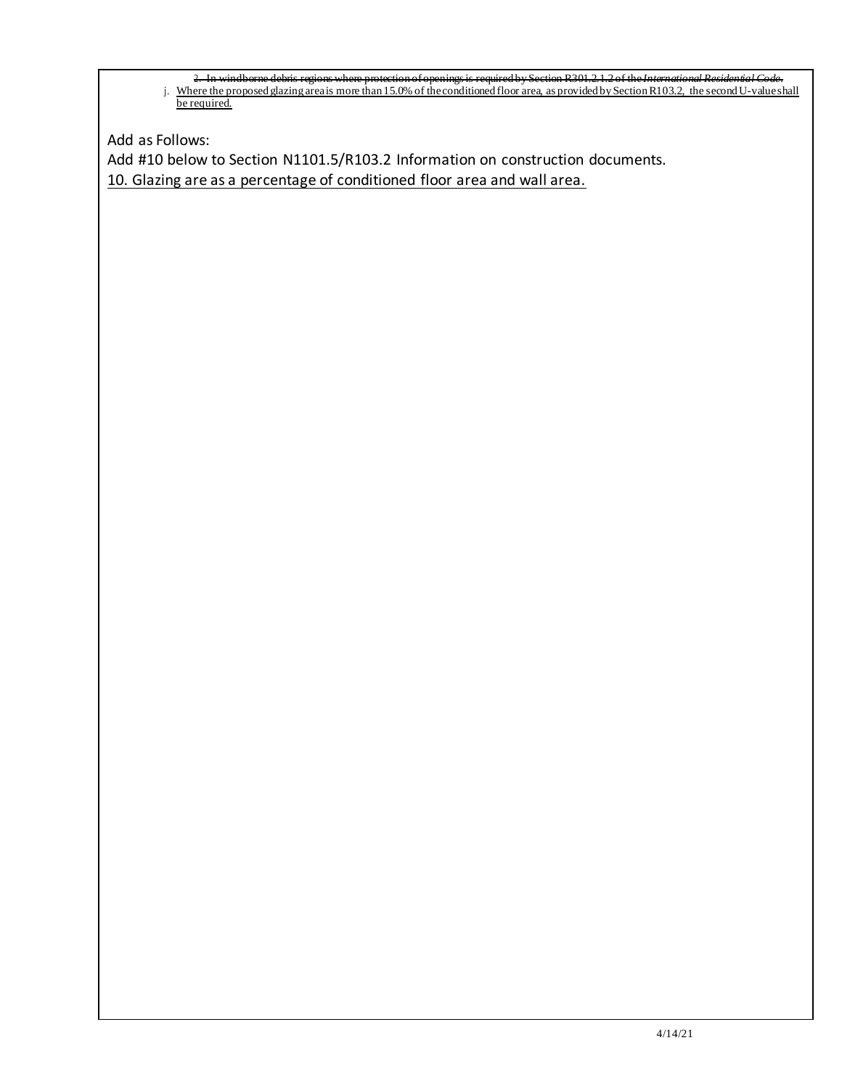j. Where the proposed glazing areais more than 15.0% of the conditioned floor area, as provided by Section R103.2, the second U-valueshall be required. 2. In windborne debris regions where protection ofopenings is required by Section R301.2.1.2 of the*International Residential Code*. be required.

Add as Follows:

 Add #10 below to Section N1101.5/R103.2 Information on construction documents. 10. Glazing are as a percentage of conditioned floor area and wall area.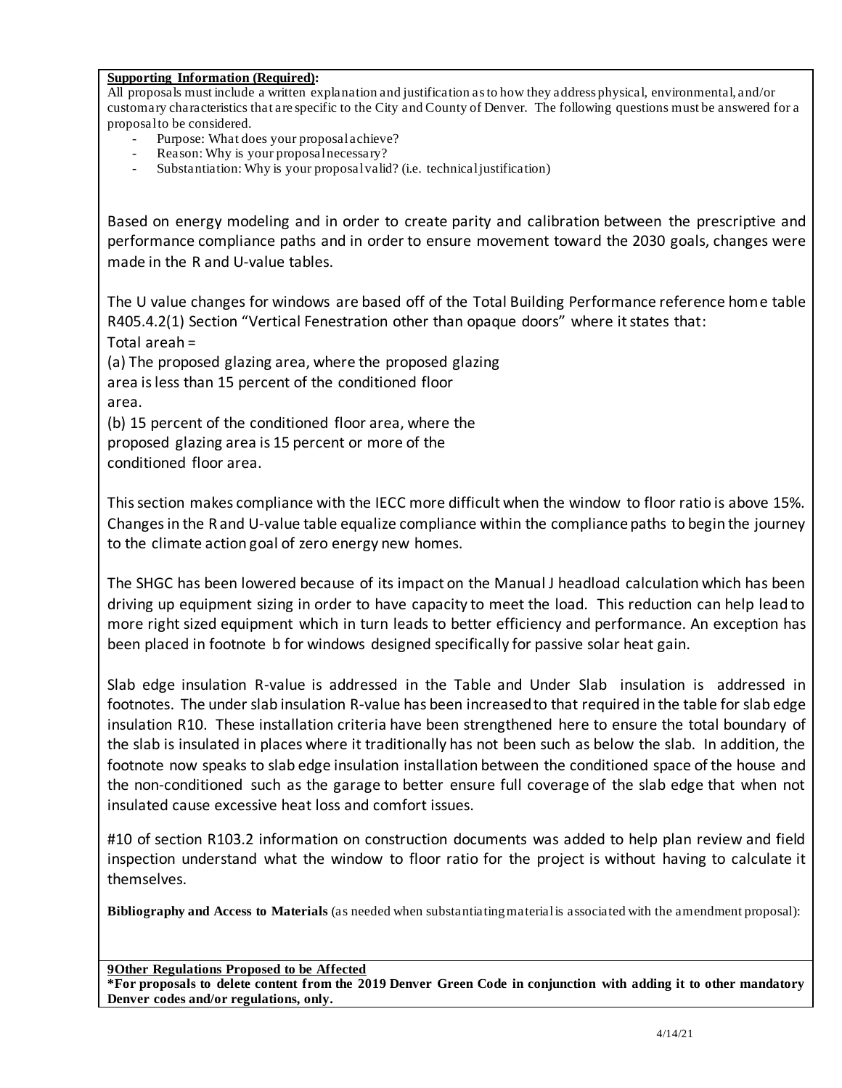**Supporting Information (Required):** 

 All proposals must include a written explanation and justification as to how they address physical, environmental, and/or customary characteristics that are specific to the City and County of Denver. The following questions must be answered for a proposal to be considered.

- Purpose: What does your proposal achieve?
- Reason: Why is your proposal necessary?
- Substantiation: Why is your proposal valid? (i.e. technical justification)

 Based on energy modeling and in order to create parity and calibration between the prescriptive and performance compliance paths and in order to ensure movement toward the 2030 goals, changes were made in the R and U-value tables.

 The U value changes for windows are based off of the Total Building Performance reference hom e table R405.4.2(1) Section "Vertical Fenestration other than opaque doors" where it states that: Total areah =

 (a) The proposed glazing area, where the proposed glazing area is less than 15 percent of the conditioned floor area.

 (b) 15 percent of the conditioned floor area, where the proposed glazing area is 15 percent or more of the conditioned floor area.

 This section makes compliance with the IECC more difficult when the window to floor ratio is above 15%. Changes in the R and U-value table equalize compliance within the compliance paths to begin the journey to the climate action goal of zero energy new homes.

 The SHGC has been lowered because of its impact on the Manual J headload calculation which has been driving up equipment sizing in order to have capacity to meet the load. This reduction can help lead to more right sized equipment which in turn leads to better efficiency and performance. An exception has been placed in footnote b for windows designed specifically for passive solar heat gain.

 Slab edge insulation R-value is addressed in the Table and Under Slab insulation is addressed in footnotes. The under slab insulation R-value has been increasedto that required in the table for slab edge insulation R10. These installation criteria have been strengthened here to ensure the total boundary of the slab is insulated in places where it traditionally has not been such as below the slab. In addition, the footnote now speaks to slab edge insulation installation between the conditioned space of the house and the non-conditioned such as the garage to better ensure full coverage of the slab edge that when not insulated cause excessive heat loss and comfort issues.

 #10 of section R103.2 information on construction documents was added to help plan review and field inspection understand what the window to floor ratio for the project is without having to calculate it themselves.

 **Bibliography and Access to Materials** (as needed when substantiating material is associated with the amendment proposal):

 **9Other Regulations Proposed to be Affected** 

 **\*For proposals to delete content from the 2019 Denver Green Code in conjunction with adding it to other mandatory Denver codes and/or regulations, only.**